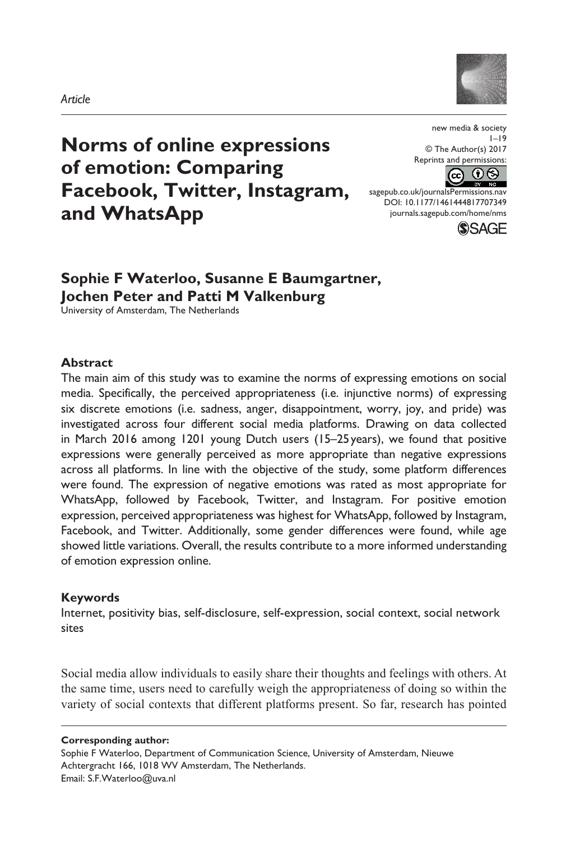#### *Article*



# **Norms of online expressions of emotion: Comparing Facebook, Twitter, Instagram, and WhatsApp**

new media & society  $1 - 19$ © The Author(s) 2017 Reprints and permissions:



[sagepub.co.uk/journalsPermissions.nav](https://uk.sagepub.com/en-gb/journals-permissions) DOI: 10.1177/1461444817707349 [journals.sagepub.com/home/nms](https://journals.sagepub.com/home/nms) **SSAGE** 



**Jochen Peter and Patti M Valkenburg**

University of Amsterdam, The Netherlands

## **Abstract**

The main aim of this study was to examine the norms of expressing emotions on social media. Specifically, the perceived appropriateness (i.e. injunctive norms) of expressing six discrete emotions (i.e. sadness, anger, disappointment, worry, joy, and pride) was investigated across four different social media platforms. Drawing on data collected in March 2016 among 1201 young Dutch users (15–25years), we found that positive expressions were generally perceived as more appropriate than negative expressions across all platforms. In line with the objective of the study, some platform differences were found. The expression of negative emotions was rated as most appropriate for WhatsApp, followed by Facebook, Twitter, and Instagram. For positive emotion expression, perceived appropriateness was highest for WhatsApp, followed by Instagram, Facebook, and Twitter. Additionally, some gender differences were found, while age showed little variations. Overall, the results contribute to a more informed understanding of emotion expression online.

## **Keywords**

Internet, positivity bias, self-disclosure, self-expression, social context, social network sites

Social media allow individuals to easily share their thoughts and feelings with others. At the same time, users need to carefully weigh the appropriateness of doing so within the variety of social contexts that different platforms present. So far, research has pointed

**Corresponding author:**

Sophie F Waterloo, Department of Communication Science, University of Amsterdam, Nieuwe Achtergracht 166, 1018 WV Amsterdam, The Netherlands. Email: [S.F.Waterloo@uva.nl](mailto:S.F.Waterloo@uva.nl)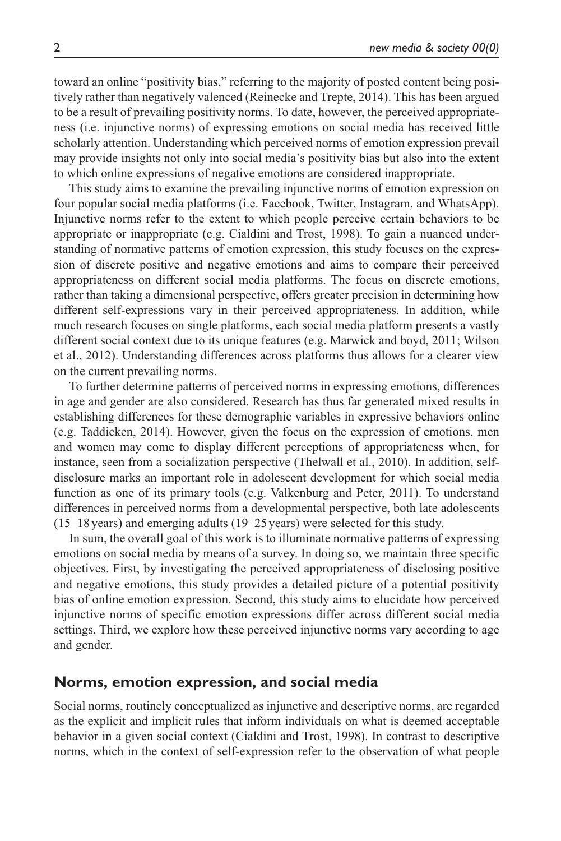toward an online "positivity bias," referring to the majority of posted content being positively rather than negatively valenced (Reinecke and Trepte, 2014). This has been argued to be a result of prevailing positivity norms. To date, however, the perceived appropriateness (i.e. injunctive norms) of expressing emotions on social media has received little scholarly attention. Understanding which perceived norms of emotion expression prevail may provide insights not only into social media's positivity bias but also into the extent to which online expressions of negative emotions are considered inappropriate.

This study aims to examine the prevailing injunctive norms of emotion expression on four popular social media platforms (i.e. Facebook, Twitter, Instagram, and WhatsApp). Injunctive norms refer to the extent to which people perceive certain behaviors to be appropriate or inappropriate (e.g. Cialdini and Trost, 1998). To gain a nuanced understanding of normative patterns of emotion expression, this study focuses on the expression of discrete positive and negative emotions and aims to compare their perceived appropriateness on different social media platforms. The focus on discrete emotions, rather than taking a dimensional perspective, offers greater precision in determining how different self-expressions vary in their perceived appropriateness. In addition, while much research focuses on single platforms, each social media platform presents a vastly different social context due to its unique features (e.g. Marwick and boyd, 2011; Wilson et al., 2012). Understanding differences across platforms thus allows for a clearer view on the current prevailing norms.

To further determine patterns of perceived norms in expressing emotions, differences in age and gender are also considered. Research has thus far generated mixed results in establishing differences for these demographic variables in expressive behaviors online (e.g. Taddicken, 2014). However, given the focus on the expression of emotions, men and women may come to display different perceptions of appropriateness when, for instance, seen from a socialization perspective (Thelwall et al., 2010). In addition, selfdisclosure marks an important role in adolescent development for which social media function as one of its primary tools (e.g. Valkenburg and Peter, 2011). To understand differences in perceived norms from a developmental perspective, both late adolescents (15–18 years) and emerging adults (19–25years) were selected for this study.

In sum, the overall goal of this work is to illuminate normative patterns of expressing emotions on social media by means of a survey. In doing so, we maintain three specific objectives. First, by investigating the perceived appropriateness of disclosing positive and negative emotions, this study provides a detailed picture of a potential positivity bias of online emotion expression. Second, this study aims to elucidate how perceived injunctive norms of specific emotion expressions differ across different social media settings. Third, we explore how these perceived injunctive norms vary according to age and gender.

## **Norms, emotion expression, and social media**

Social norms, routinely conceptualized as injunctive and descriptive norms, are regarded as the explicit and implicit rules that inform individuals on what is deemed acceptable behavior in a given social context (Cialdini and Trost, 1998). In contrast to descriptive norms, which in the context of self-expression refer to the observation of what people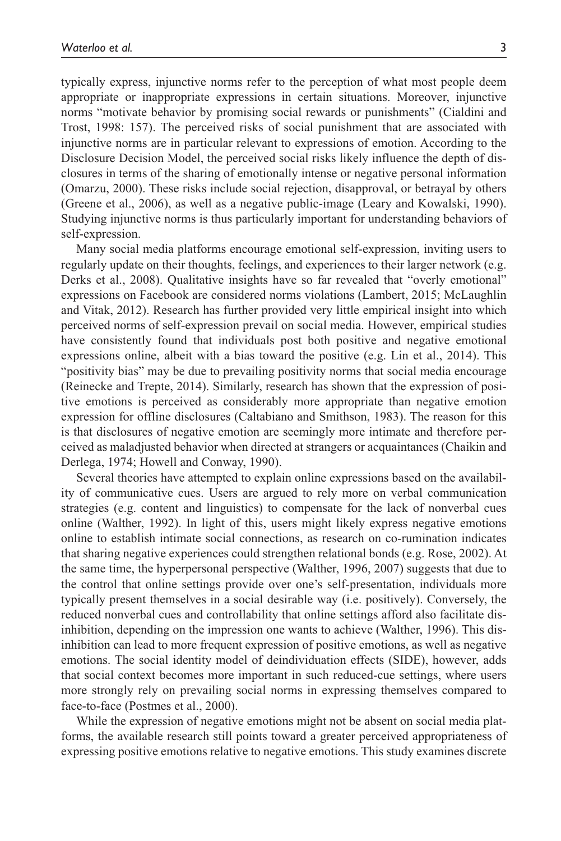typically express, injunctive norms refer to the perception of what most people deem appropriate or inappropriate expressions in certain situations. Moreover, injunctive norms "motivate behavior by promising social rewards or punishments" (Cialdini and Trost, 1998: 157). The perceived risks of social punishment that are associated with injunctive norms are in particular relevant to expressions of emotion. According to the Disclosure Decision Model, the perceived social risks likely influence the depth of disclosures in terms of the sharing of emotionally intense or negative personal information (Omarzu, 2000). These risks include social rejection, disapproval, or betrayal by others (Greene et al., 2006), as well as a negative public-image (Leary and Kowalski, 1990). Studying injunctive norms is thus particularly important for understanding behaviors of self-expression.

Many social media platforms encourage emotional self-expression, inviting users to regularly update on their thoughts, feelings, and experiences to their larger network (e.g. Derks et al., 2008). Qualitative insights have so far revealed that "overly emotional" expressions on Facebook are considered norms violations (Lambert, 2015; McLaughlin and Vitak, 2012). Research has further provided very little empirical insight into which perceived norms of self-expression prevail on social media. However, empirical studies have consistently found that individuals post both positive and negative emotional expressions online, albeit with a bias toward the positive (e.g. Lin et al., 2014). This "positivity bias" may be due to prevailing positivity norms that social media encourage (Reinecke and Trepte, 2014). Similarly, research has shown that the expression of positive emotions is perceived as considerably more appropriate than negative emotion expression for offline disclosures (Caltabiano and Smithson, 1983). The reason for this is that disclosures of negative emotion are seemingly more intimate and therefore perceived as maladjusted behavior when directed at strangers or acquaintances (Chaikin and Derlega, 1974; Howell and Conway, 1990).

Several theories have attempted to explain online expressions based on the availability of communicative cues. Users are argued to rely more on verbal communication strategies (e.g. content and linguistics) to compensate for the lack of nonverbal cues online (Walther, 1992). In light of this, users might likely express negative emotions online to establish intimate social connections, as research on co-rumination indicates that sharing negative experiences could strengthen relational bonds (e.g. Rose, 2002). At the same time, the hyperpersonal perspective (Walther, 1996, 2007) suggests that due to the control that online settings provide over one's self-presentation, individuals more typically present themselves in a social desirable way (i.e. positively). Conversely, the reduced nonverbal cues and controllability that online settings afford also facilitate disinhibition, depending on the impression one wants to achieve (Walther, 1996). This disinhibition can lead to more frequent expression of positive emotions, as well as negative emotions. The social identity model of deindividuation effects (SIDE), however, adds that social context becomes more important in such reduced-cue settings, where users more strongly rely on prevailing social norms in expressing themselves compared to face-to-face (Postmes et al., 2000).

While the expression of negative emotions might not be absent on social media platforms, the available research still points toward a greater perceived appropriateness of expressing positive emotions relative to negative emotions. This study examines discrete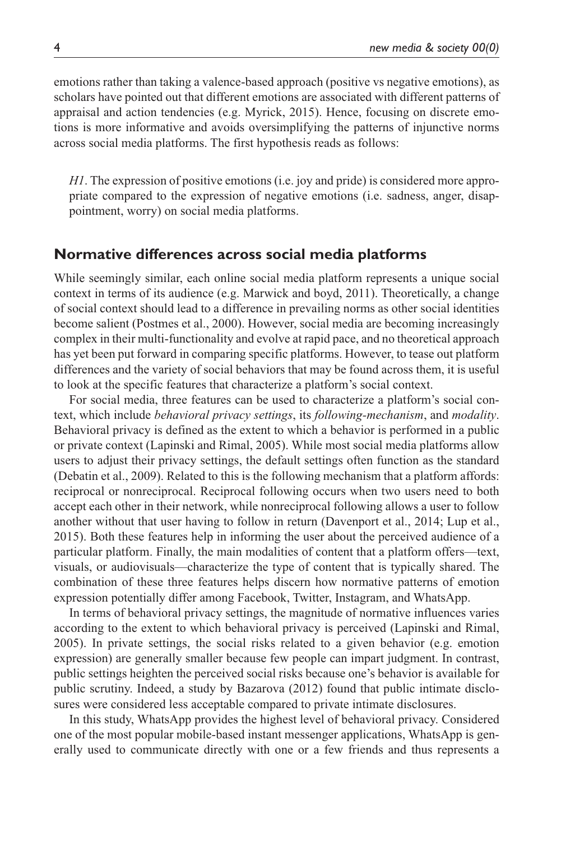emotions rather than taking a valence-based approach (positive vs negative emotions), as scholars have pointed out that different emotions are associated with different patterns of appraisal and action tendencies (e.g. Myrick, 2015). Hence, focusing on discrete emotions is more informative and avoids oversimplifying the patterns of injunctive norms across social media platforms. The first hypothesis reads as follows:

*H1*. The expression of positive emotions (i.e. joy and pride) is considered more appropriate compared to the expression of negative emotions (i.e. sadness, anger, disappointment, worry) on social media platforms.

## **Normative differences across social media platforms**

While seemingly similar, each online social media platform represents a unique social context in terms of its audience (e.g. Marwick and boyd, 2011). Theoretically, a change of social context should lead to a difference in prevailing norms as other social identities become salient (Postmes et al., 2000). However, social media are becoming increasingly complex in their multi-functionality and evolve at rapid pace, and no theoretical approach has yet been put forward in comparing specific platforms. However, to tease out platform differences and the variety of social behaviors that may be found across them, it is useful to look at the specific features that characterize a platform's social context.

For social media, three features can be used to characterize a platform's social context, which include *behavioral privacy settings*, its *following-mechanism*, and *modality*. Behavioral privacy is defined as the extent to which a behavior is performed in a public or private context (Lapinski and Rimal, 2005). While most social media platforms allow users to adjust their privacy settings, the default settings often function as the standard (Debatin et al., 2009). Related to this is the following mechanism that a platform affords: reciprocal or nonreciprocal. Reciprocal following occurs when two users need to both accept each other in their network, while nonreciprocal following allows a user to follow another without that user having to follow in return (Davenport et al., 2014; Lup et al., 2015). Both these features help in informing the user about the perceived audience of a particular platform. Finally, the main modalities of content that a platform offers—text, visuals, or audiovisuals—characterize the type of content that is typically shared. The combination of these three features helps discern how normative patterns of emotion expression potentially differ among Facebook, Twitter, Instagram, and WhatsApp.

In terms of behavioral privacy settings, the magnitude of normative influences varies according to the extent to which behavioral privacy is perceived (Lapinski and Rimal, 2005). In private settings, the social risks related to a given behavior (e.g. emotion expression) are generally smaller because few people can impart judgment. In contrast, public settings heighten the perceived social risks because one's behavior is available for public scrutiny. Indeed, a study by Bazarova (2012) found that public intimate disclosures were considered less acceptable compared to private intimate disclosures.

In this study, WhatsApp provides the highest level of behavioral privacy. Considered one of the most popular mobile-based instant messenger applications, WhatsApp is generally used to communicate directly with one or a few friends and thus represents a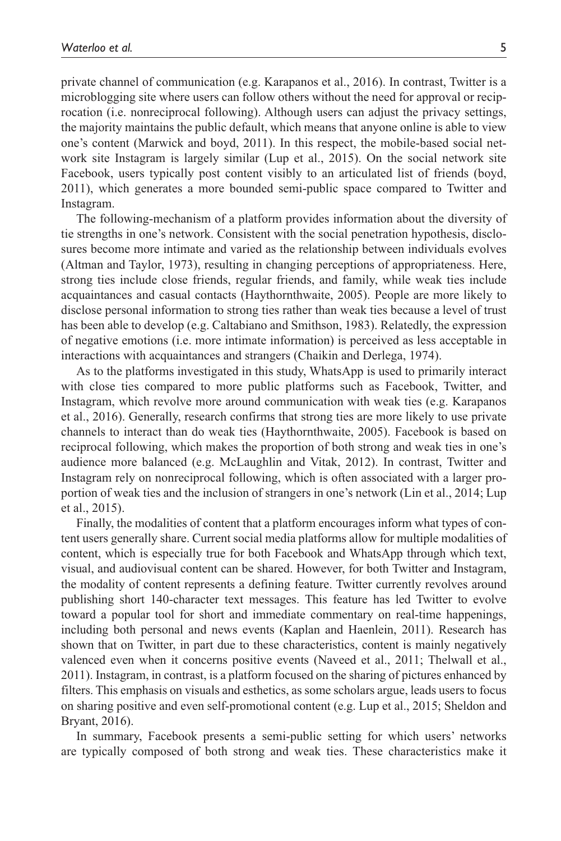private channel of communication (e.g. Karapanos et al., 2016). In contrast, Twitter is a microblogging site where users can follow others without the need for approval or reciprocation (i.e. nonreciprocal following). Although users can adjust the privacy settings, the majority maintains the public default, which means that anyone online is able to view one's content (Marwick and boyd, 2011). In this respect, the mobile-based social network site Instagram is largely similar (Lup et al., 2015). On the social network site Facebook, users typically post content visibly to an articulated list of friends (boyd, 2011), which generates a more bounded semi-public space compared to Twitter and Instagram.

The following-mechanism of a platform provides information about the diversity of tie strengths in one's network. Consistent with the social penetration hypothesis, disclosures become more intimate and varied as the relationship between individuals evolves (Altman and Taylor, 1973), resulting in changing perceptions of appropriateness. Here, strong ties include close friends, regular friends, and family, while weak ties include acquaintances and casual contacts (Haythornthwaite, 2005). People are more likely to disclose personal information to strong ties rather than weak ties because a level of trust has been able to develop (e.g. Caltabiano and Smithson, 1983). Relatedly, the expression of negative emotions (i.e. more intimate information) is perceived as less acceptable in interactions with acquaintances and strangers (Chaikin and Derlega, 1974).

As to the platforms investigated in this study, WhatsApp is used to primarily interact with close ties compared to more public platforms such as Facebook, Twitter, and Instagram, which revolve more around communication with weak ties (e.g. Karapanos et al., 2016). Generally, research confirms that strong ties are more likely to use private channels to interact than do weak ties (Haythornthwaite, 2005). Facebook is based on reciprocal following, which makes the proportion of both strong and weak ties in one's audience more balanced (e.g. McLaughlin and Vitak, 2012). In contrast, Twitter and Instagram rely on nonreciprocal following, which is often associated with a larger proportion of weak ties and the inclusion of strangers in one's network (Lin et al., 2014; Lup et al., 2015).

Finally, the modalities of content that a platform encourages inform what types of content users generally share. Current social media platforms allow for multiple modalities of content, which is especially true for both Facebook and WhatsApp through which text, visual, and audiovisual content can be shared. However, for both Twitter and Instagram, the modality of content represents a defining feature. Twitter currently revolves around publishing short 140-character text messages. This feature has led Twitter to evolve toward a popular tool for short and immediate commentary on real-time happenings, including both personal and news events (Kaplan and Haenlein, 2011). Research has shown that on Twitter, in part due to these characteristics, content is mainly negatively valenced even when it concerns positive events (Naveed et al., 2011; Thelwall et al., 2011). Instagram, in contrast, is a platform focused on the sharing of pictures enhanced by filters. This emphasis on visuals and esthetics, as some scholars argue, leads users to focus on sharing positive and even self-promotional content (e.g. Lup et al., 2015; Sheldon and Bryant, 2016).

In summary, Facebook presents a semi-public setting for which users' networks are typically composed of both strong and weak ties. These characteristics make it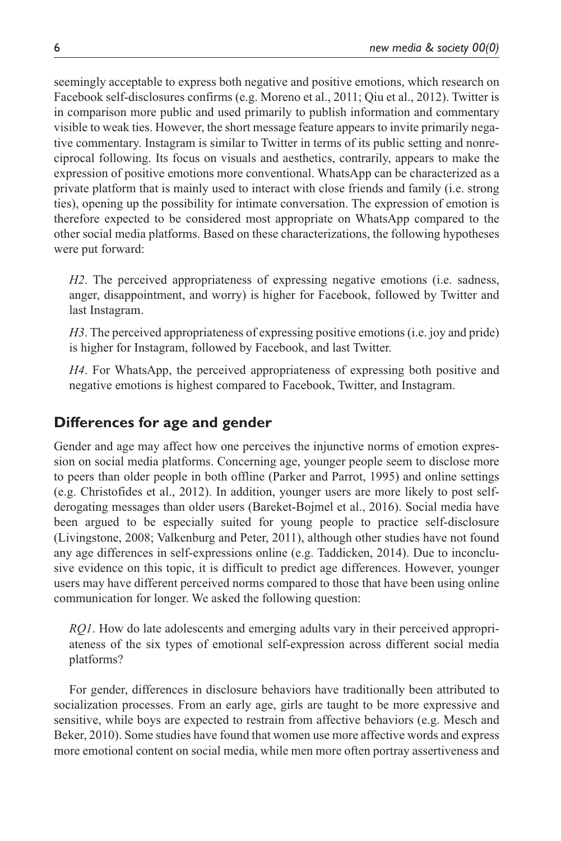seemingly acceptable to express both negative and positive emotions, which research on Facebook self-disclosures confirms (e.g. Moreno et al., 2011; Qiu et al., 2012). Twitter is in comparison more public and used primarily to publish information and commentary visible to weak ties. However, the short message feature appears to invite primarily negative commentary. Instagram is similar to Twitter in terms of its public setting and nonreciprocal following. Its focus on visuals and aesthetics, contrarily, appears to make the expression of positive emotions more conventional. WhatsApp can be characterized as a private platform that is mainly used to interact with close friends and family (i.e. strong ties), opening up the possibility for intimate conversation. The expression of emotion is therefore expected to be considered most appropriate on WhatsApp compared to the other social media platforms. Based on these characterizations, the following hypotheses were put forward:

*H2*. The perceived appropriateness of expressing negative emotions (i.e. sadness, anger, disappointment, and worry) is higher for Facebook, followed by Twitter and last Instagram.

*H3*. The perceived appropriateness of expressing positive emotions (i.e. joy and pride) is higher for Instagram, followed by Facebook, and last Twitter.

*H4*. For WhatsApp, the perceived appropriateness of expressing both positive and negative emotions is highest compared to Facebook, Twitter, and Instagram.

# **Differences for age and gender**

Gender and age may affect how one perceives the injunctive norms of emotion expression on social media platforms. Concerning age, younger people seem to disclose more to peers than older people in both offline (Parker and Parrot, 1995) and online settings (e.g. Christofides et al., 2012). In addition, younger users are more likely to post selfderogating messages than older users (Bareket-Bojmel et al., 2016). Social media have been argued to be especially suited for young people to practice self-disclosure (Livingstone, 2008; Valkenburg and Peter, 2011), although other studies have not found any age differences in self-expressions online (e.g. Taddicken, 2014). Due to inconclusive evidence on this topic, it is difficult to predict age differences. However, younger users may have different perceived norms compared to those that have been using online communication for longer. We asked the following question:

*RQ1*. How do late adolescents and emerging adults vary in their perceived appropriateness of the six types of emotional self-expression across different social media platforms?

For gender, differences in disclosure behaviors have traditionally been attributed to socialization processes. From an early age, girls are taught to be more expressive and sensitive, while boys are expected to restrain from affective behaviors (e.g. Mesch and Beker, 2010). Some studies have found that women use more affective words and express more emotional content on social media, while men more often portray assertiveness and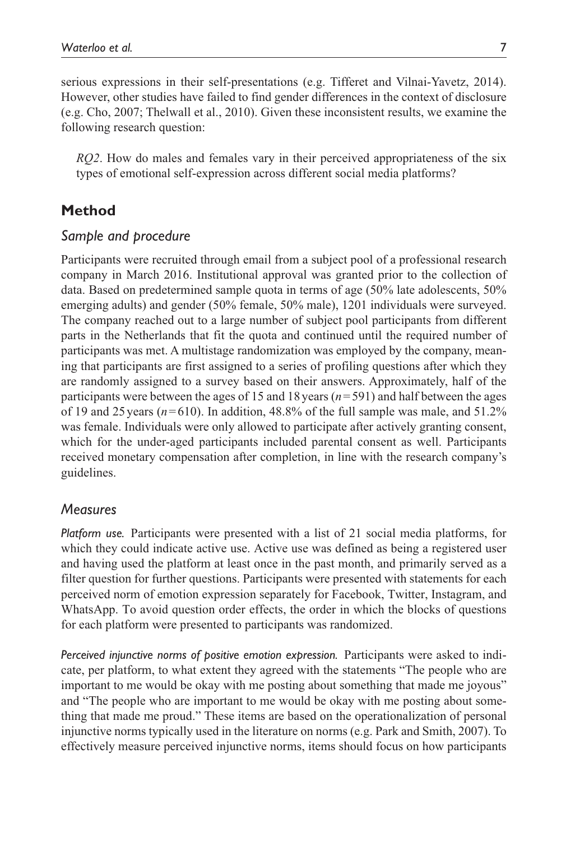serious expressions in their self-presentations (e.g. Tifferet and Vilnai-Yavetz, 2014). However, other studies have failed to find gender differences in the context of disclosure (e.g. Cho, 2007; Thelwall et al., 2010). Given these inconsistent results, we examine the following research question:

*RQ2*. How do males and females vary in their perceived appropriateness of the six types of emotional self-expression across different social media platforms?

# **Method**

## *Sample and procedure*

Participants were recruited through email from a subject pool of a professional research company in March 2016. Institutional approval was granted prior to the collection of data. Based on predetermined sample quota in terms of age (50% late adolescents, 50% emerging adults) and gender (50% female, 50% male), 1201 individuals were surveyed. The company reached out to a large number of subject pool participants from different parts in the Netherlands that fit the quota and continued until the required number of participants was met. A multistage randomization was employed by the company, meaning that participants are first assigned to a series of profiling questions after which they are randomly assigned to a survey based on their answers. Approximately, half of the participants were between the ages of 15 and 18 years (*n*=591) and half between the ages of 19 and 25 years  $(n=610)$ . In addition, 48.8% of the full sample was male, and 51.2% was female. Individuals were only allowed to participate after actively granting consent, which for the under-aged participants included parental consent as well. Participants received monetary compensation after completion, in line with the research company's guidelines.

## *Measures*

*Platform use.* Participants were presented with a list of 21 social media platforms, for which they could indicate active use. Active use was defined as being a registered user and having used the platform at least once in the past month, and primarily served as a filter question for further questions. Participants were presented with statements for each perceived norm of emotion expression separately for Facebook, Twitter, Instagram, and WhatsApp. To avoid question order effects, the order in which the blocks of questions for each platform were presented to participants was randomized.

*Perceived injunctive norms of positive emotion expression.* Participants were asked to indicate, per platform, to what extent they agreed with the statements "The people who are important to me would be okay with me posting about something that made me joyous" and "The people who are important to me would be okay with me posting about something that made me proud." These items are based on the operationalization of personal injunctive norms typically used in the literature on norms (e.g. Park and Smith, 2007). To effectively measure perceived injunctive norms, items should focus on how participants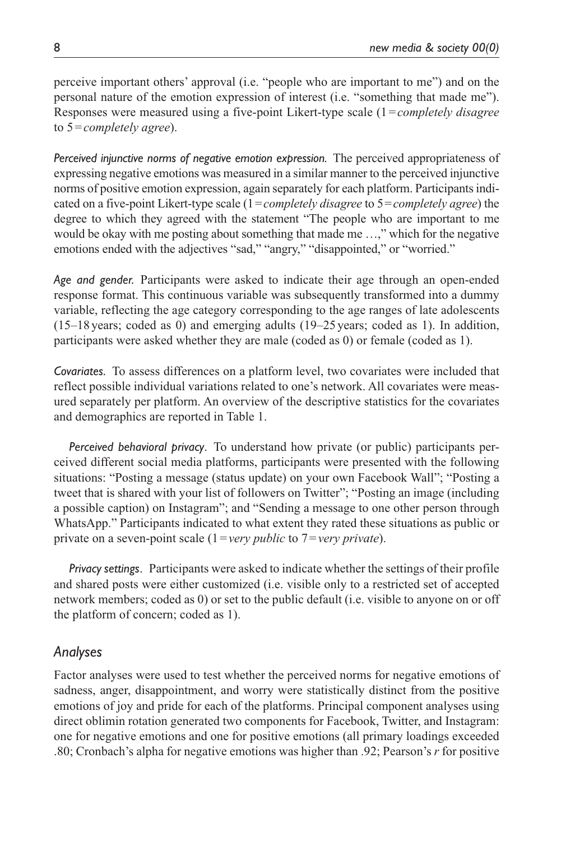perceive important others' approval (i.e. "people who are important to me") and on the personal nature of the emotion expression of interest (i.e. "something that made me"). Responses were measured using a five-point Likert-type scale (1=*completely disagree* to 5=*completely agree*).

*Perceived injunctive norms of negative emotion expression.* The perceived appropriateness of expressing negative emotions was measured in a similar manner to the perceived injunctive norms of positive emotion expression, again separately for each platform. Participants indicated on a five-point Likert-type scale (1=*completely disagree* to 5=*completely agree*) the degree to which they agreed with the statement "The people who are important to me would be okay with me posting about something that made me …," which for the negative emotions ended with the adjectives "sad," "angry," "disappointed," or "worried."

*Age and gender.* Participants were asked to indicate their age through an open-ended response format. This continuous variable was subsequently transformed into a dummy variable, reflecting the age category corresponding to the age ranges of late adolescents (15–18 years; coded as 0) and emerging adults (19–25years; coded as 1). In addition, participants were asked whether they are male (coded as 0) or female (coded as 1).

*Covariates.* To assess differences on a platform level, two covariates were included that reflect possible individual variations related to one's network. All covariates were measured separately per platform. An overview of the descriptive statistics for the covariates and demographics are reported in Table 1.

*Perceived behavioral privacy*. To understand how private (or public) participants perceived different social media platforms, participants were presented with the following situations: "Posting a message (status update) on your own Facebook Wall"; "Posting a tweet that is shared with your list of followers on Twitter"; "Posting an image (including a possible caption) on Instagram"; and "Sending a message to one other person through WhatsApp." Participants indicated to what extent they rated these situations as public or private on a seven-point scale (1=*very public* to 7=*very private*).

*Privacy settings*. Participants were asked to indicate whether the settings of their profile and shared posts were either customized (i.e. visible only to a restricted set of accepted network members; coded as 0) or set to the public default (i.e. visible to anyone on or off the platform of concern; coded as 1).

# *Analyses*

Factor analyses were used to test whether the perceived norms for negative emotions of sadness, anger, disappointment, and worry were statistically distinct from the positive emotions of joy and pride for each of the platforms. Principal component analyses using direct oblimin rotation generated two components for Facebook, Twitter, and Instagram: one for negative emotions and one for positive emotions (all primary loadings exceeded .80; Cronbach's alpha for negative emotions was higher than .92; Pearson's *r* for positive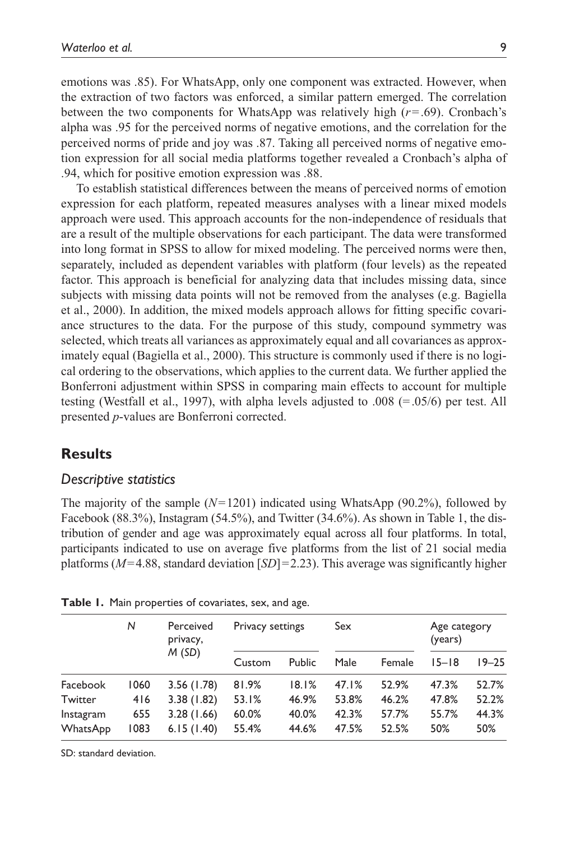emotions was .85). For WhatsApp, only one component was extracted. However, when the extraction of two factors was enforced, a similar pattern emerged. The correlation between the two components for WhatsApp was relatively high (*r*=.69). Cronbach's alpha was .95 for the perceived norms of negative emotions, and the correlation for the perceived norms of pride and joy was .87. Taking all perceived norms of negative emotion expression for all social media platforms together revealed a Cronbach's alpha of .94, which for positive emotion expression was .88.

To establish statistical differences between the means of perceived norms of emotion expression for each platform, repeated measures analyses with a linear mixed models approach were used. This approach accounts for the non-independence of residuals that are a result of the multiple observations for each participant. The data were transformed into long format in SPSS to allow for mixed modeling. The perceived norms were then, separately, included as dependent variables with platform (four levels) as the repeated factor. This approach is beneficial for analyzing data that includes missing data, since subjects with missing data points will not be removed from the analyses (e.g. Bagiella et al., 2000). In addition, the mixed models approach allows for fitting specific covariance structures to the data. For the purpose of this study, compound symmetry was selected, which treats all variances as approximately equal and all covariances as approximately equal (Bagiella et al., 2000). This structure is commonly used if there is no logical ordering to the observations, which applies to the current data. We further applied the Bonferroni adjustment within SPSS in comparing main effects to account for multiple testing (Westfall et al., 1997), with alpha levels adjusted to .008 (=.05/6) per test. All presented *p*-values are Bonferroni corrected.

## **Results**

#### *Descriptive statistics*

The majority of the sample (*N*=1201) indicated using WhatsApp (90.2%), followed by Facebook (88.3%), Instagram (54.5%), and Twitter (34.6%). As shown in Table 1, the distribution of gender and age was approximately equal across all four platforms. In total, participants indicated to use on average five platforms from the list of 21 social media platforms (*M*=4.88, standard deviation [*SD*]=2.23). This average was significantly higher

|           | N    | Perceived<br>privacy,<br>M(SD) | Privacy settings |        | Sex   |        | Age category<br>(years) |           |
|-----------|------|--------------------------------|------------------|--------|-------|--------|-------------------------|-----------|
|           |      |                                | Custom           | Public | Male  | Female | $15 - 18$               | $19 - 25$ |
| Facebook  | 1060 | 3.56(1.78)                     | 81.9%            | 18.1%  | 47.1% | 52.9%  | 47.3%                   | 52.7%     |
| Twitter   | 416  | 3.38(1.82)                     | 53.1%            | 46.9%  | 53.8% | 46.2%  | 47.8%                   | 52.2%     |
| Instagram | 655  | 3.28(1.66)                     | 60.0%            | 40.0%  | 42.3% | 57.7%  | 55.7%                   | 44.3%     |
| WhatsApp  | 1083 | 6.15(1.40)                     | 55.4%            | 44.6%  | 47.5% | 52.5%  | 50%                     | 50%       |

**Table 1.** Main properties of covariates, sex, and age.

SD: standard deviation.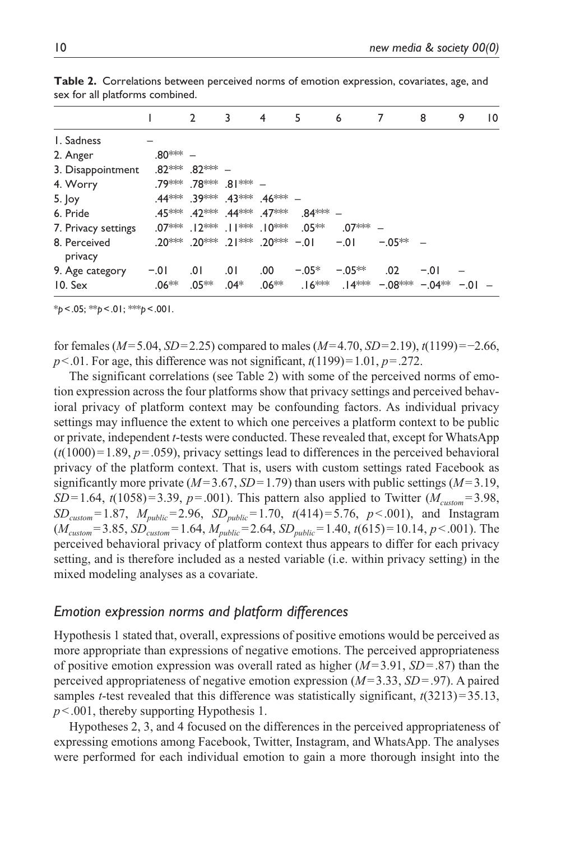|                         |        | $\overline{2}$        | 3                   | 4                                                               | 5                  | 6         | 7                                  | 8      | 9 | 10 |
|-------------------------|--------|-----------------------|---------------------|-----------------------------------------------------------------|--------------------|-----------|------------------------------------|--------|---|----|
| I. Sadness              |        |                       |                     |                                                                 |                    |           |                                    |        |   |    |
| 2. Anger                | .80*** |                       |                     |                                                                 |                    |           |                                    |        |   |    |
| 3. Disappointment       |        | $.82***$ $.82***$ $-$ |                     |                                                                 |                    |           |                                    |        |   |    |
| 4. Worry                |        |                       | 79*** 78*** 81*** - |                                                                 |                    |           |                                    |        |   |    |
| $5.$ Joy                |        |                       |                     | $.44***$ 39** $.43***$ 46** -                                   |                    |           |                                    |        |   |    |
| 6. Pride                |        |                       |                     | $.45***$ $.42***$ $.44***$ $.47***$                             | .84*** –           |           |                                    |        |   |    |
| 7. Privacy settings     |        |                       |                     | $.07$ *** $.12$ *** $.11$ *** $.10$ ***                         | .05**              | .07*** –  |                                    |        |   |    |
| 8. Perceived<br>privacy |        |                       |                     | $20$ ** 20 <sup>**</sup> 21** 20 <sup>**</sup> 20 <sup>**</sup> |                    | $-.01$    | $-0.5**$                           |        |   |    |
| 9. Age category         | $-.01$ | 0١.                   | 0١.                 | .00                                                             | $-.05*$            | $-.05***$ | .02                                | $-.01$ |   |    |
| $10.$ Sex               | .06**  | $.05**$               | $.04*$              | $.06**$                                                         | .∣6 <sup>***</sup> |           | $.14***$ $-.08***$ $-.04**$ $-.01$ |        |   |    |

**Table 2.** Correlations between perceived norms of emotion expression, covariates, age, and sex for all platforms combined.

\**p*<.05; \*\**p*<.01; \*\*\**p*<.001.

for females (*M*=5.04, *SD*=2.25) compared to males (*M*=4.70, *SD*=2.19), *t*(1199)=−2.66,  $p<.01$ . For age, this difference was not significant,  $t(1199)=1.01$ ,  $p=.272$ .

The significant correlations (see Table 2) with some of the perceived norms of emotion expression across the four platforms show that privacy settings and perceived behavioral privacy of platform context may be confounding factors. As individual privacy settings may influence the extent to which one perceives a platform context to be public or private, independent *t*-tests were conducted. These revealed that, except for WhatsApp  $(t(1000)=1.89, p=.059)$ , privacy settings lead to differences in the perceived behavioral privacy of the platform context. That is, users with custom settings rated Facebook as significantly more private ( $M=3.67$ ,  $SD=1.79$ ) than users with public settings ( $M=3.19$ , *SD*=1.64, *t*(1058)=3.39, *p*=.001). This pattern also applied to Twitter ( $M_{\text{custom}}$ =3.98, *SDcustom* =1.87, *Mpublic*=2.96, *SDpublic*=1.70, *t*(414)=5.76, *p*<.001), and Instagram  $(M_{custom} = 3.85, SD_{custom} = 1.64, M_{public} = 2.64, SD_{public} = 1.40, t(615) = 10.14, p < .001$ . The perceived behavioral privacy of platform context thus appears to differ for each privacy setting, and is therefore included as a nested variable (i.e. within privacy setting) in the mixed modeling analyses as a covariate.

## *Emotion expression norms and platform differences*

Hypothesis 1 stated that, overall, expressions of positive emotions would be perceived as more appropriate than expressions of negative emotions. The perceived appropriateness of positive emotion expression was overall rated as higher (*M*=3.91, *SD*=.87) than the perceived appropriateness of negative emotion expression (*M*=3.33, *SD*=.97). A paired samples *t*-test revealed that this difference was statistically significant,  $t(3213)=35.13$ , *p*<.001, thereby supporting Hypothesis 1.

Hypotheses 2, 3, and 4 focused on the differences in the perceived appropriateness of expressing emotions among Facebook, Twitter, Instagram, and WhatsApp. The analyses were performed for each individual emotion to gain a more thorough insight into the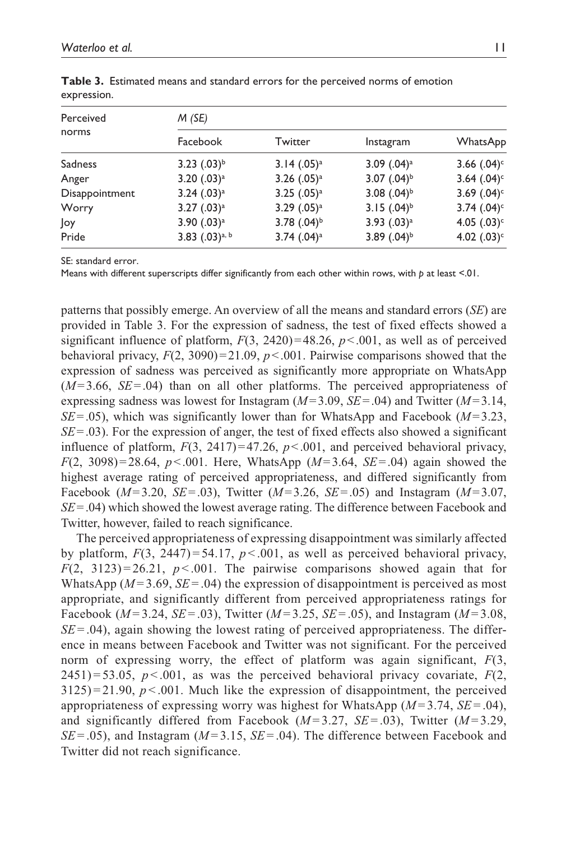| Perceived      | $M$ (SE)            |                  |                    |                 |  |  |  |
|----------------|---------------------|------------------|--------------------|-----------------|--|--|--|
| norms          | Facebook            | Twitter          | Instagram          | <b>WhatsApp</b> |  |  |  |
| <b>Sadness</b> | 3.23 $(.03)^{b}$    | $3.14$ $(.05)^a$ | 3.09 $(.04)^a$     | 3.66 $(.04)^c$  |  |  |  |
| Anger          | $3.20$ $(.03)^a$    | $3.26$ $(.05)^a$ | 3.07 $(.04)^{b}$   | 3.64 $(.04)^c$  |  |  |  |
| Disappointment | $3.24$ $(.03)^a$    | $3.25$ $(.05)^a$ | 3.08 $(.04)^{b}$   | 3.69 $(.04)$ c  |  |  |  |
| Worry          | $3.27$ $(.03)^a$    | $3.29$ $(.05)^a$ | $3.15$ $(.04)^{b}$ | 3.74 $(.04)^c$  |  |  |  |
| Joy            | $3.90$ $(.03)^a$    | 3.78 $(.04)^{b}$ | $3.93$ $(.03)^a$   | 4.05 $(.03)^c$  |  |  |  |
| Pride          | 3.83 $(.03)^{a, b}$ | $3.74$ $(.04)^a$ | 3.89 $(.04)^{b}$   | 4.02 $(.03)^c$  |  |  |  |

**Table 3.** Estimated means and standard errors for the perceived norms of emotion expression.

SE: standard error.

Means with different superscripts differ significantly from each other within rows, with *p* at least <.01.

patterns that possibly emerge. An overview of all the means and standard errors (*SE*) are provided in Table 3. For the expression of sadness, the test of fixed effects showed a significant influence of platform,  $F(3, 2420) = 48.26$ ,  $p < .001$ , as well as of perceived behavioral privacy,  $F(2, 3090) = 21.09$ ,  $p < .001$ . Pairwise comparisons showed that the expression of sadness was perceived as significantly more appropriate on WhatsApp (*M*=3.66, *SE*=.04) than on all other platforms. The perceived appropriateness of expressing sadness was lowest for Instagram (*M*=3.09, *SE*=.04) and Twitter (*M*=3.14, *SE*=.05), which was significantly lower than for WhatsApp and Facebook (*M*=3.23, *SE*=.03). For the expression of anger, the test of fixed effects also showed a significant influence of platform,  $F(3, 2417) = 47.26$ ,  $p < .001$ , and perceived behavioral privacy, *F*(2, 3098)=28.64, *p*<.001. Here, WhatsApp (*M*=3.64, *SE*=.04) again showed the highest average rating of perceived appropriateness, and differed significantly from Facebook (*M*=3.20, *SE*=.03), Twitter (*M*=3.26, *SE*=.05) and Instagram (*M*=3.07, *SE*=.04) which showed the lowest average rating. The difference between Facebook and Twitter, however, failed to reach significance.

The perceived appropriateness of expressing disappointment was similarly affected by platform,  $F(3, 2447) = 54.17$ ,  $p < .001$ , as well as perceived behavioral privacy,  $F(2, 3123) = 26.21$ ,  $p < .001$ . The pairwise comparisons showed again that for WhatsApp  $(M=3.69, SE=.04)$  the expression of disappointment is perceived as most appropriate, and significantly different from perceived appropriateness ratings for Facebook ( $M=3.24$ ,  $SE=.03$ ), Twitter ( $M=3.25$ ,  $SE=.05$ ), and Instagram ( $M=3.08$ ,  $SE = .04$ ), again showing the lowest rating of perceived appropriateness. The difference in means between Facebook and Twitter was not significant. For the perceived norm of expressing worry, the effect of platform was again significant, *F*(3,  $2451$ )=53.05,  $p < .001$ , as was the perceived behavioral privacy covariate,  $F(2)$ ,  $3125$ )=21.90,  $p < .001$ . Much like the expression of disappointment, the perceived appropriateness of expressing worry was highest for WhatsApp (*M* = 3.74, *SE* = .04), and significantly differed from Facebook  $(M=3.27, SE=.03)$ , Twitter  $(M=3.29,$  $SE = .05$ ), and Instagram ( $M = 3.15$ ,  $SE = .04$ ). The difference between Facebook and Twitter did not reach significance.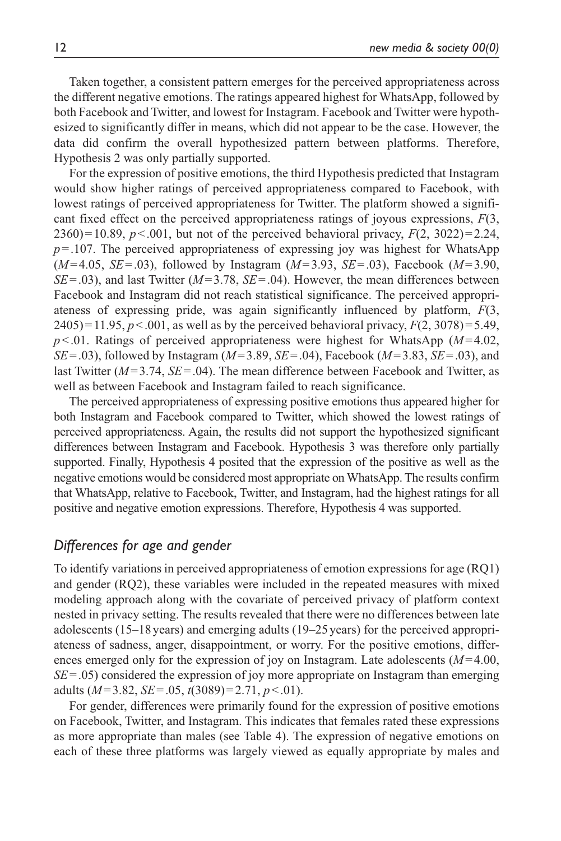Taken together, a consistent pattern emerges for the perceived appropriateness across the different negative emotions. The ratings appeared highest for WhatsApp, followed by both Facebook and Twitter, and lowest for Instagram. Facebook and Twitter were hypothesized to significantly differ in means, which did not appear to be the case. However, the data did confirm the overall hypothesized pattern between platforms. Therefore, Hypothesis 2 was only partially supported.

For the expression of positive emotions, the third Hypothesis predicted that Instagram would show higher ratings of perceived appropriateness compared to Facebook, with lowest ratings of perceived appropriateness for Twitter. The platform showed a significant fixed effect on the perceived appropriateness ratings of joyous expressions, *F*(3, 2360)=10.89,  $p < .001$ , but not of the perceived behavioral privacy,  $F(2, 3022) = 2.24$ , *p*=.107. The perceived appropriateness of expressing joy was highest for WhatsApp (*M*=4.05, *SE*=.03), followed by Instagram (*M*=3.93, *SE*=.03), Facebook (*M*=3.90, *SE*=.03), and last Twitter (*M*=3.78, *SE*=.04). However, the mean differences between Facebook and Instagram did not reach statistical significance. The perceived appropriateness of expressing pride, was again significantly influenced by platform, *F*(3,  $2405$ )=11.95,  $p < .001$ , as well as by the perceived behavioral privacy,  $F(2, 3078)$ =5.49, *p*<.01. Ratings of perceived appropriateness were highest for WhatsApp (*M*=4.02, *SE*=.03), followed by Instagram (*M*=3.89, *SE*=.04), Facebook (*M*=3.83, *SE*=.03), and last Twitter (*M*=3.74, *SE*=.04). The mean difference between Facebook and Twitter, as well as between Facebook and Instagram failed to reach significance.

The perceived appropriateness of expressing positive emotions thus appeared higher for both Instagram and Facebook compared to Twitter, which showed the lowest ratings of perceived appropriateness. Again, the results did not support the hypothesized significant differences between Instagram and Facebook. Hypothesis 3 was therefore only partially supported. Finally, Hypothesis 4 posited that the expression of the positive as well as the negative emotions would be considered most appropriate on WhatsApp. The results confirm that WhatsApp, relative to Facebook, Twitter, and Instagram, had the highest ratings for all positive and negative emotion expressions. Therefore, Hypothesis 4 was supported.

## *Differences for age and gender*

To identify variations in perceived appropriateness of emotion expressions for age (RQ1) and gender (RQ2), these variables were included in the repeated measures with mixed modeling approach along with the covariate of perceived privacy of platform context nested in privacy setting. The results revealed that there were no differences between late adolescents (15–18 years) and emerging adults (19–25years) for the perceived appropriateness of sadness, anger, disappointment, or worry. For the positive emotions, differences emerged only for the expression of joy on Instagram. Late adolescents (*M*=4.00, *SE*=.05) considered the expression of joy more appropriate on Instagram than emerging adults (*M*=3.82, *SE*=.05, *t*(3089)=2.71, *p*<.01).

For gender, differences were primarily found for the expression of positive emotions on Facebook, Twitter, and Instagram. This indicates that females rated these expressions as more appropriate than males (see Table 4). The expression of negative emotions on each of these three platforms was largely viewed as equally appropriate by males and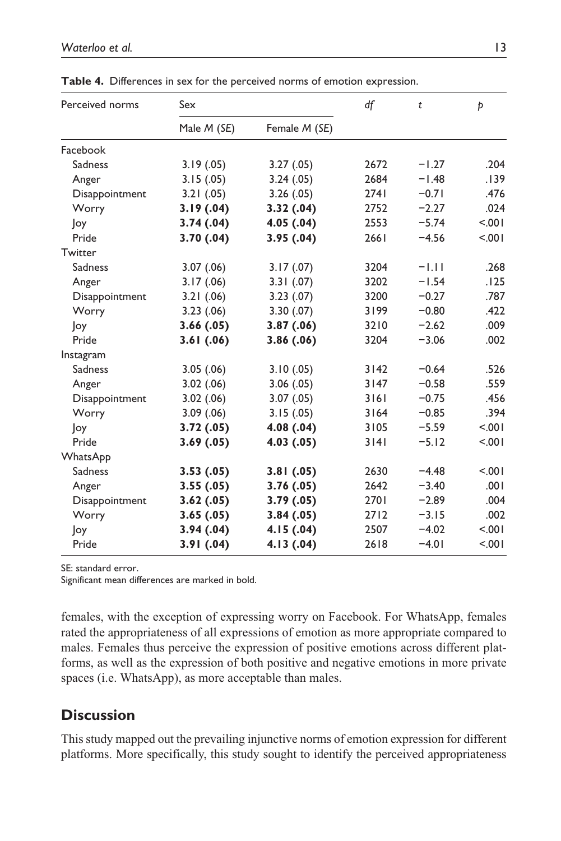| Perceived norms | Sex         | df            | t      | Þ       |         |  |
|-----------------|-------------|---------------|--------|---------|---------|--|
|                 | Male M (SE) | Female M (SE) |        |         |         |  |
| Facebook        |             |               |        |         |         |  |
| Sadness         | 3.19(0.05)  | 3.27(0.05)    | 2672   | $-1.27$ | .204    |  |
| Anger           | 3.15(.05)   | 3.24(.05)     | 2684   | $-1.48$ | .139    |  |
| Disappointment  | 3.21(.05)   | 3.26(.05)     | 2741   | $-0.71$ | .476    |  |
| Worry           | 3.19(0.04)  | 3.32(0.04)    | 2752   | $-2.27$ | .024    |  |
| Joy             | 3.74(0.04)  | 4.05(0.04)    | 2553   | $-5.74$ | 100.5   |  |
| Pride           | 3.70(0.04)  | 3.95(.04)     | 2661   | $-4.56$ | $100$ . |  |
| Twitter         |             |               |        |         |         |  |
| <b>Sadness</b>  | 3.07(0.06)  | 3.17(07)      | 3204   | $-1.11$ | .268    |  |
| Anger           | 3.17(06)    | 3.31(07)      | 3202   | $-1.54$ | .125    |  |
| Disappointment  | 3.21(0.06)  | 3.23(07)      | 3200   | $-0.27$ | .787    |  |
| Worry           | 3.23(0.06)  | 3.30(0.07)    | 3199   | $-0.80$ | .422    |  |
| Joy             | 3.66(.05)   | 3.87(0.06)    | 3210   | $-2.62$ | .009    |  |
| Pride           | 3.61(0.06)  | 3.86(.06)     | 3204   | $-3.06$ | .002    |  |
| Instagram       |             |               |        |         |         |  |
| <b>Sadness</b>  | 3.05(0.06)  | 3.10(0.05)    | $3142$ | $-0.64$ | .526    |  |
| Anger           | 3.02(0.06)  | 3.06(.05)     | $3147$ | $-0.58$ | .559    |  |
| Disappointment  | 3.02(0.06)  | 3.07(0.05)    | 3161   | $-0.75$ | .456    |  |
| Worry           | 3.09(0.06)  | 3.15(.05)     | 3164   | $-0.85$ | .394    |  |
| Joy             | 3.72(.05)   | 4.08(.04)     | 3105   | $-5.59$ | $100$ . |  |
| Pride           | 3.69(0.05)  | 4.03(0.05)    | 3 4    | $-5.12$ | $100$ . |  |
| WhatsApp        |             |               |        |         |         |  |
| <b>Sadness</b>  | 3.53(0.05)  | 3.81(0.05)    | 2630   | $-4.48$ | $500 -$ |  |
| Anger           | 3.55(.05)   | 3.76(0.05)    | 2642   | $-3.40$ | 100.    |  |
| Disappointment  | 3.62(0.05)  | 3.79(0.05)    | 2701   | $-2.89$ | .004    |  |
| Worry           | 3.65(.05)   | 3.84(0.05)    | 2712   | $-3.15$ | .002    |  |
| Joy             | 3.94(0.04)  | 4.15(.04)     | 2507   | $-4.02$ | $100$ . |  |
| Pride           | 3.91(0.04)  | 4.13(0.04)    | 2618   | $-4.01$ | 5.001   |  |

**Table 4.** Differences in sex for the perceived norms of emotion expression.

SE: standard error.

Significant mean differences are marked in bold.

females, with the exception of expressing worry on Facebook. For WhatsApp, females rated the appropriateness of all expressions of emotion as more appropriate compared to males. Females thus perceive the expression of positive emotions across different platforms, as well as the expression of both positive and negative emotions in more private spaces (i.e. WhatsApp), as more acceptable than males.

# **Discussion**

This study mapped out the prevailing injunctive norms of emotion expression for different platforms. More specifically, this study sought to identify the perceived appropriateness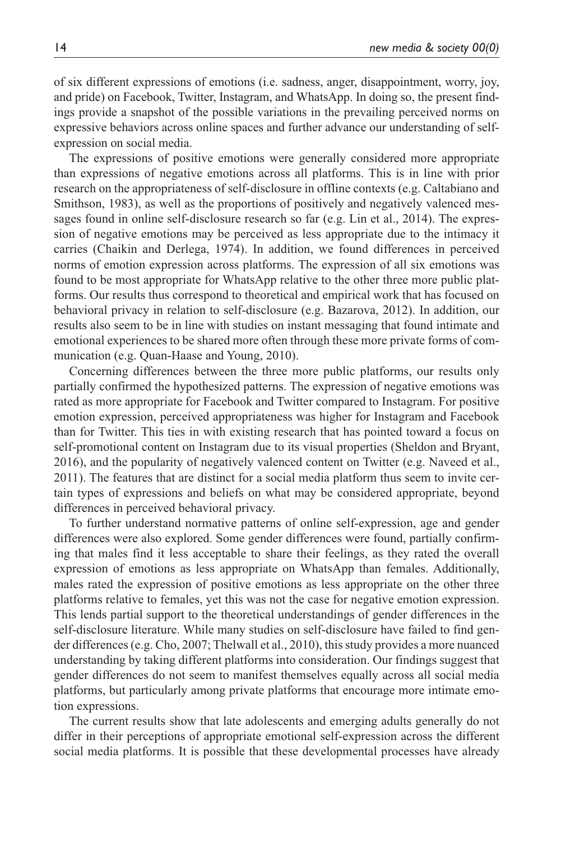of six different expressions of emotions (i.e. sadness, anger, disappointment, worry, joy, and pride) on Facebook, Twitter, Instagram, and WhatsApp. In doing so, the present findings provide a snapshot of the possible variations in the prevailing perceived norms on expressive behaviors across online spaces and further advance our understanding of selfexpression on social media.

The expressions of positive emotions were generally considered more appropriate than expressions of negative emotions across all platforms. This is in line with prior research on the appropriateness of self-disclosure in offline contexts (e.g. Caltabiano and Smithson, 1983), as well as the proportions of positively and negatively valenced messages found in online self-disclosure research so far (e.g. Lin et al., 2014). The expression of negative emotions may be perceived as less appropriate due to the intimacy it carries (Chaikin and Derlega, 1974). In addition, we found differences in perceived norms of emotion expression across platforms. The expression of all six emotions was found to be most appropriate for WhatsApp relative to the other three more public platforms. Our results thus correspond to theoretical and empirical work that has focused on behavioral privacy in relation to self-disclosure (e.g. Bazarova, 2012). In addition, our results also seem to be in line with studies on instant messaging that found intimate and emotional experiences to be shared more often through these more private forms of communication (e.g. Quan-Haase and Young, 2010).

Concerning differences between the three more public platforms, our results only partially confirmed the hypothesized patterns. The expression of negative emotions was rated as more appropriate for Facebook and Twitter compared to Instagram. For positive emotion expression, perceived appropriateness was higher for Instagram and Facebook than for Twitter. This ties in with existing research that has pointed toward a focus on self-promotional content on Instagram due to its visual properties (Sheldon and Bryant, 2016), and the popularity of negatively valenced content on Twitter (e.g. Naveed et al., 2011). The features that are distinct for a social media platform thus seem to invite certain types of expressions and beliefs on what may be considered appropriate, beyond differences in perceived behavioral privacy.

To further understand normative patterns of online self-expression, age and gender differences were also explored. Some gender differences were found, partially confirming that males find it less acceptable to share their feelings, as they rated the overall expression of emotions as less appropriate on WhatsApp than females. Additionally, males rated the expression of positive emotions as less appropriate on the other three platforms relative to females, yet this was not the case for negative emotion expression. This lends partial support to the theoretical understandings of gender differences in the self-disclosure literature. While many studies on self-disclosure have failed to find gender differences (e.g. Cho, 2007; Thelwall et al., 2010), this study provides a more nuanced understanding by taking different platforms into consideration. Our findings suggest that gender differences do not seem to manifest themselves equally across all social media platforms, but particularly among private platforms that encourage more intimate emotion expressions.

The current results show that late adolescents and emerging adults generally do not differ in their perceptions of appropriate emotional self-expression across the different social media platforms. It is possible that these developmental processes have already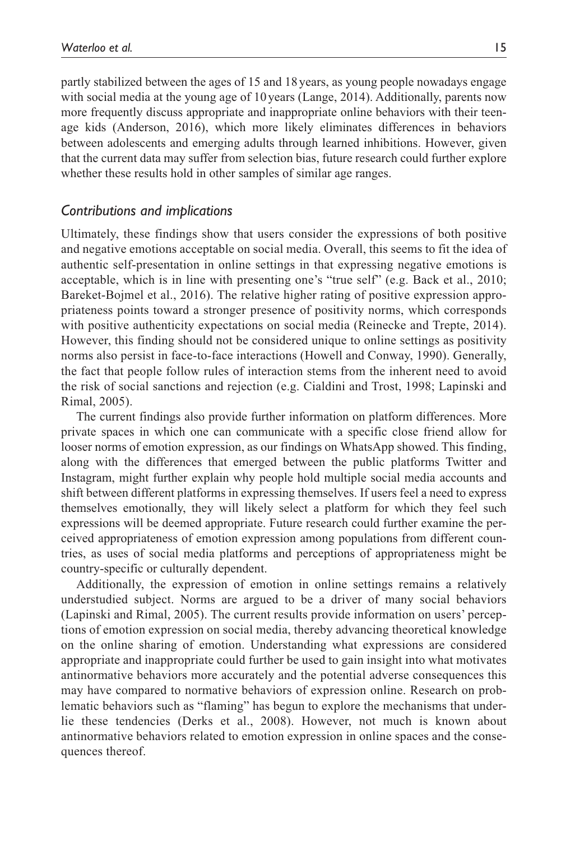partly stabilized between the ages of 15 and 18 years, as young people nowadays engage with social media at the young age of 10years (Lange, 2014). Additionally, parents now more frequently discuss appropriate and inappropriate online behaviors with their teenage kids (Anderson, 2016), which more likely eliminates differences in behaviors between adolescents and emerging adults through learned inhibitions. However, given that the current data may suffer from selection bias, future research could further explore whether these results hold in other samples of similar age ranges.

#### *Contributions and implications*

Ultimately, these findings show that users consider the expressions of both positive and negative emotions acceptable on social media. Overall, this seems to fit the idea of authentic self-presentation in online settings in that expressing negative emotions is acceptable, which is in line with presenting one's "true self" (e.g. Back et al., 2010; Bareket-Bojmel et al., 2016). The relative higher rating of positive expression appropriateness points toward a stronger presence of positivity norms, which corresponds with positive authenticity expectations on social media (Reinecke and Trepte, 2014). However, this finding should not be considered unique to online settings as positivity norms also persist in face-to-face interactions (Howell and Conway, 1990). Generally, the fact that people follow rules of interaction stems from the inherent need to avoid the risk of social sanctions and rejection (e.g. Cialdini and Trost, 1998; Lapinski and Rimal, 2005).

The current findings also provide further information on platform differences. More private spaces in which one can communicate with a specific close friend allow for looser norms of emotion expression, as our findings on WhatsApp showed. This finding, along with the differences that emerged between the public platforms Twitter and Instagram, might further explain why people hold multiple social media accounts and shift between different platforms in expressing themselves. If users feel a need to express themselves emotionally, they will likely select a platform for which they feel such expressions will be deemed appropriate. Future research could further examine the perceived appropriateness of emotion expression among populations from different countries, as uses of social media platforms and perceptions of appropriateness might be country-specific or culturally dependent.

Additionally, the expression of emotion in online settings remains a relatively understudied subject. Norms are argued to be a driver of many social behaviors (Lapinski and Rimal, 2005). The current results provide information on users' perceptions of emotion expression on social media, thereby advancing theoretical knowledge on the online sharing of emotion. Understanding what expressions are considered appropriate and inappropriate could further be used to gain insight into what motivates antinormative behaviors more accurately and the potential adverse consequences this may have compared to normative behaviors of expression online. Research on problematic behaviors such as "flaming" has begun to explore the mechanisms that underlie these tendencies (Derks et al., 2008). However, not much is known about antinormative behaviors related to emotion expression in online spaces and the consequences thereof.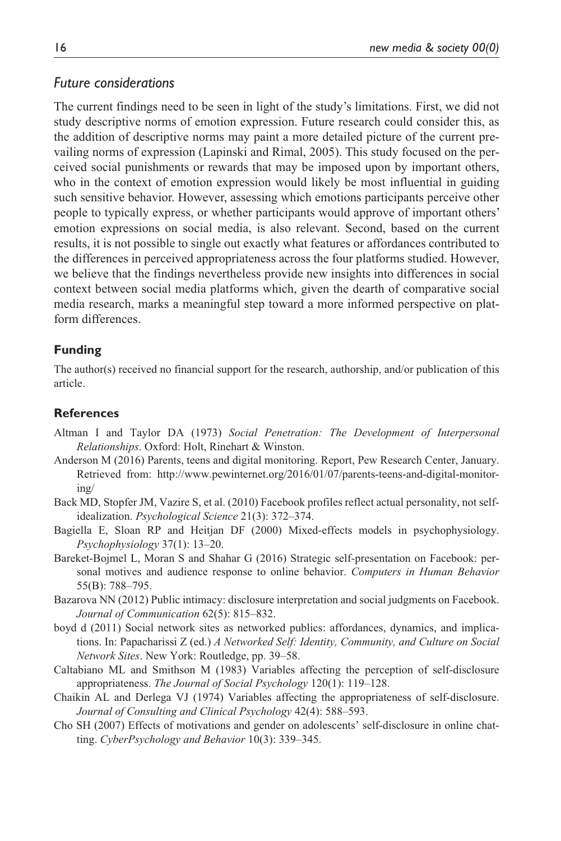## *Future considerations*

The current findings need to be seen in light of the study's limitations. First, we did not study descriptive norms of emotion expression. Future research could consider this, as the addition of descriptive norms may paint a more detailed picture of the current prevailing norms of expression (Lapinski and Rimal, 2005). This study focused on the perceived social punishments or rewards that may be imposed upon by important others, who in the context of emotion expression would likely be most influential in guiding such sensitive behavior. However, assessing which emotions participants perceive other people to typically express, or whether participants would approve of important others' emotion expressions on social media, is also relevant. Second, based on the current results, it is not possible to single out exactly what features or affordances contributed to the differences in perceived appropriateness across the four platforms studied. However, we believe that the findings nevertheless provide new insights into differences in social context between social media platforms which, given the dearth of comparative social media research, marks a meaningful step toward a more informed perspective on platform differences.

## **Funding**

The author(s) received no financial support for the research, authorship, and/or publication of this article.

#### **References**

- Altman I and Taylor DA (1973) *Social Penetration: The Development of Interpersonal Relationships*. Oxford: Holt, Rinehart & Winston.
- Anderson M (2016) Parents, teens and digital monitoring. Report, Pew Research Center, January. Retrieved from: [http://www.pewinternet.org/2016/01/07/parents-teens-and-digital-monitor](http://www.pewinternet.org/2016/01/07/parents-teens-and-digital-monitoring/)[ing/](http://www.pewinternet.org/2016/01/07/parents-teens-and-digital-monitoring/)
- Back MD, Stopfer JM, Vazire S, et al. (2010) Facebook profiles reflect actual personality, not selfidealization. *Psychological Science* 21(3): 372–374.
- Bagiella E, Sloan RP and Heitjan DF (2000) Mixed-effects models in psychophysiology. *Psychophysiology* 37(1): 13–20.
- Bareket-Bojmel L, Moran S and Shahar G (2016) Strategic self-presentation on Facebook: personal motives and audience response to online behavior. *Computers in Human Behavior* 55(B): 788–795.
- Bazarova NN (2012) Public intimacy: disclosure interpretation and social judgments on Facebook. *Journal of Communication* 62(5): 815–832.
- boyd d (2011) Social network sites as networked publics: affordances, dynamics, and implications. In: Papacharissi Z (ed.) *A Networked Self: Identity, Community, and Culture on Social Network Sites*. New York: Routledge, pp. 39–58.
- Caltabiano ML and Smithson M (1983) Variables affecting the perception of self-disclosure appropriateness. *The Journal of Social Psychology* 120(1): 119–128.
- Chaikin AL and Derlega VJ (1974) Variables affecting the appropriateness of self-disclosure. *Journal of Consulting and Clinical Psychology* 42(4): 588–593.
- Cho SH (2007) Effects of motivations and gender on adolescents' self-disclosure in online chatting. *CyberPsychology and Behavior* 10(3): 339–345.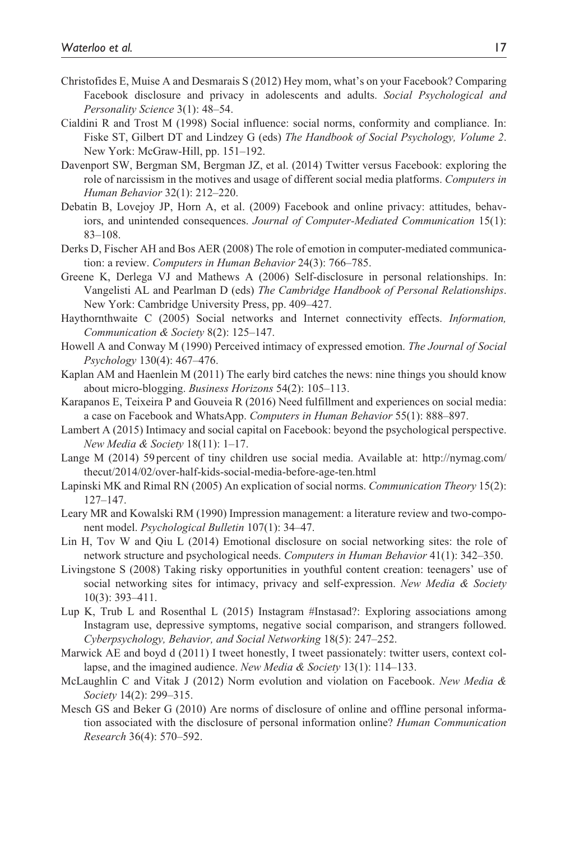- Christofides E, Muise A and Desmarais S (2012) Hey mom, what's on your Facebook? Comparing Facebook disclosure and privacy in adolescents and adults. *Social Psychological and Personality Science* 3(1): 48–54.
- Cialdini R and Trost M (1998) Social influence: social norms, conformity and compliance. In: Fiske ST, Gilbert DT and Lindzey G (eds) *The Handbook of Social Psychology, Volume 2*. New York: McGraw-Hill, pp. 151–192.
- Davenport SW, Bergman SM, Bergman JZ, et al. (2014) Twitter versus Facebook: exploring the role of narcissism in the motives and usage of different social media platforms. *Computers in Human Behavior* 32(1): 212–220.
- Debatin B, Lovejoy JP, Horn A, et al. (2009) Facebook and online privacy: attitudes, behaviors, and unintended consequences. *Journal of Computer-Mediated Communication* 15(1): 83–108.
- Derks D, Fischer AH and Bos AER (2008) The role of emotion in computer-mediated communication: a review. *Computers in Human Behavior* 24(3): 766–785.
- Greene K, Derlega VJ and Mathews A (2006) Self-disclosure in personal relationships. In: Vangelisti AL and Pearlman D (eds) *The Cambridge Handbook of Personal Relationships*. New York: Cambridge University Press, pp. 409–427.
- Haythornthwaite C (2005) Social networks and Internet connectivity effects. *Information, Communication & Society* 8(2): 125–147.
- Howell A and Conway M (1990) Perceived intimacy of expressed emotion. *The Journal of Social Psychology* 130(4): 467–476.
- Kaplan AM and Haenlein M (2011) The early bird catches the news: nine things you should know about micro-blogging. *Business Horizons* 54(2): 105–113.
- Karapanos E, Teixeira P and Gouveia R (2016) Need fulfillment and experiences on social media: a case on Facebook and WhatsApp. *Computers in Human Behavior* 55(1): 888–897.
- Lambert A (2015) Intimacy and social capital on Facebook: beyond the psychological perspective. *New Media & Society* 18(11): 1–17.
- Lange M (2014) 59percent of tiny children use social media. Available at: [http://nymag.com/](http://nymag.com/thecut/2014/02/over-half-kids-social-media-before-age-ten.html) [thecut/2014/02/over-half-kids-social-media-before-age-ten.html](http://nymag.com/thecut/2014/02/over-half-kids-social-media-before-age-ten.html)
- Lapinski MK and Rimal RN (2005) An explication of social norms. *Communication Theory* 15(2): 127–147.
- Leary MR and Kowalski RM (1990) Impression management: a literature review and two-component model. *Psychological Bulletin* 107(1): 34–47.
- Lin H, Tov W and Qiu L (2014) Emotional disclosure on social networking sites: the role of network structure and psychological needs. *Computers in Human Behavior* 41(1): 342–350.
- Livingstone S (2008) Taking risky opportunities in youthful content creation: teenagers' use of social networking sites for intimacy, privacy and self-expression. *New Media & Society* 10(3): 393–411.
- Lup K, Trub L and Rosenthal L (2015) Instagram #Instasad?: Exploring associations among Instagram use, depressive symptoms, negative social comparison, and strangers followed. *Cyberpsychology, Behavior, and Social Networking* 18(5): 247–252.
- Marwick AE and boyd d (2011) I tweet honestly, I tweet passionately: twitter users, context collapse, and the imagined audience. *New Media & Society* 13(1): 114–133.
- McLaughlin C and Vitak J (2012) Norm evolution and violation on Facebook. *New Media & Society* 14(2): 299–315.
- Mesch GS and Beker G (2010) Are norms of disclosure of online and offline personal information associated with the disclosure of personal information online? *Human Communication Research* 36(4): 570–592.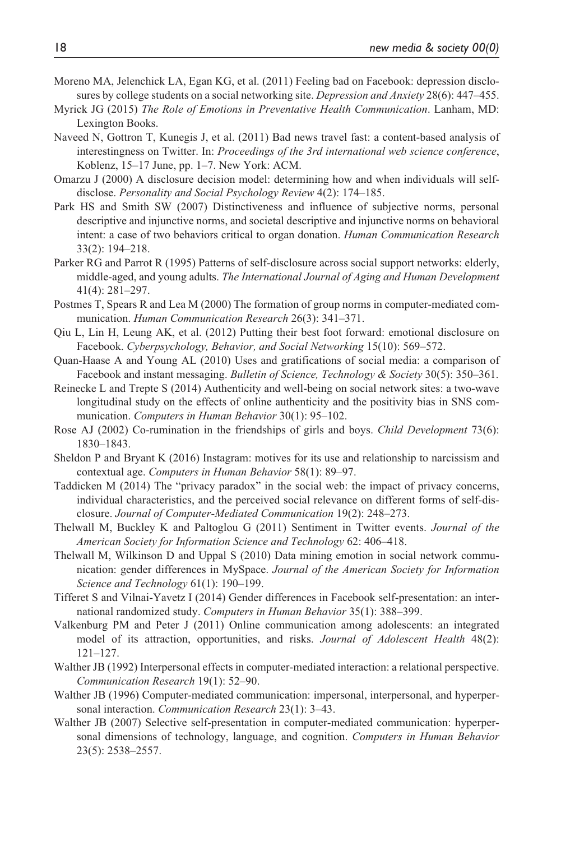- Moreno MA, Jelenchick LA, Egan KG, et al. (2011) Feeling bad on Facebook: depression disclosures by college students on a social networking site. *Depression and Anxiety* 28(6): 447–455.
- Myrick JG (2015) *The Role of Emotions in Preventative Health Communication*. Lanham, MD: Lexington Books.
- Naveed N, Gottron T, Kunegis J, et al. (2011) Bad news travel fast: a content-based analysis of interestingness on Twitter. In: *Proceedings of the 3rd international web science conference*, Koblenz, 15–17 June, pp. 1–7. New York: ACM.
- Omarzu J (2000) A disclosure decision model: determining how and when individuals will selfdisclose. *Personality and Social Psychology Review* 4(2): 174–185.
- Park HS and Smith SW (2007) Distinctiveness and influence of subjective norms, personal descriptive and injunctive norms, and societal descriptive and injunctive norms on behavioral intent: a case of two behaviors critical to organ donation. *Human Communication Research* 33(2): 194–218.
- Parker RG and Parrot R (1995) Patterns of self-disclosure across social support networks: elderly, middle-aged, and young adults. *The International Journal of Aging and Human Development* 41(4): 281–297.
- Postmes T, Spears R and Lea M (2000) The formation of group norms in computer-mediated communication. *Human Communication Research* 26(3): 341–371.
- Qiu L, Lin H, Leung AK, et al. (2012) Putting their best foot forward: emotional disclosure on Facebook. *Cyberpsychology, Behavior, and Social Networking* 15(10): 569–572.
- Quan-Haase A and Young AL (2010) Uses and gratifications of social media: a comparison of Facebook and instant messaging. *Bulletin of Science, Technology & Society* 30(5): 350–361.
- Reinecke L and Trepte S (2014) Authenticity and well-being on social network sites: a two-wave longitudinal study on the effects of online authenticity and the positivity bias in SNS communication. *Computers in Human Behavior* 30(1): 95–102.
- Rose AJ (2002) Co-rumination in the friendships of girls and boys. *Child Development* 73(6): 1830–1843.
- Sheldon P and Bryant K (2016) Instagram: motives for its use and relationship to narcissism and contextual age. *Computers in Human Behavior* 58(1): 89–97.
- Taddicken M (2014) The "privacy paradox" in the social web: the impact of privacy concerns, individual characteristics, and the perceived social relevance on different forms of self-disclosure. *Journal of Computer-Mediated Communication* 19(2): 248–273.
- Thelwall M, Buckley K and Paltoglou G (2011) Sentiment in Twitter events. *Journal of the American Society for Information Science and Technology* 62: 406–418.
- Thelwall M, Wilkinson D and Uppal S (2010) Data mining emotion in social network communication: gender differences in MySpace. *Journal of the American Society for Information Science and Technology* 61(1): 190–199.
- Tifferet S and Vilnai-Yavetz I (2014) Gender differences in Facebook self-presentation: an international randomized study. *Computers in Human Behavior* 35(1): 388–399.
- Valkenburg PM and Peter J (2011) Online communication among adolescents: an integrated model of its attraction, opportunities, and risks. *Journal of Adolescent Health* 48(2): 121–127.
- Walther JB (1992) Interpersonal effects in computer-mediated interaction: a relational perspective. *Communication Research* 19(1): 52–90.
- Walther JB (1996) Computer-mediated communication: impersonal, interpersonal, and hyperpersonal interaction. *Communication Research* 23(1): 3–43.
- Walther JB (2007) Selective self-presentation in computer-mediated communication: hyperpersonal dimensions of technology, language, and cognition. *Computers in Human Behavior* 23(5): 2538–2557.